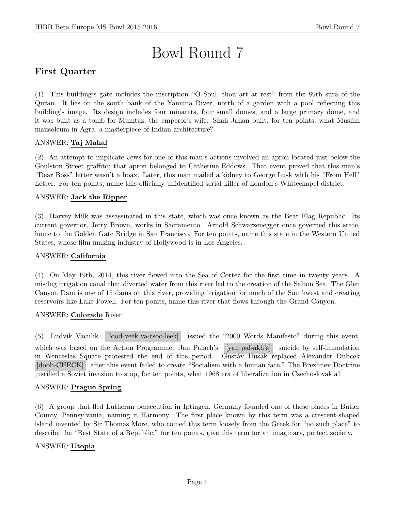# Bowl Round 7

# First Quarter

(1) This building's gate includes the inscription "O Soul, thou art at rest" from the 89th sura of the Quran. It lies on the south bank of the Yamuna River, north of a garden with a pool reflecting this building's image. Its design includes four minarets, four small domes, and a large primary dome, and it was built as a tomb for Mumtaz, the emperor's wife. Shah Jahan built, for ten points, what Muslim mausoleum in Agra, a masterpiece of Indian architecture?

## ANSWER: Taj Mahal

(2) An attempt to implicate Jews for one of this man's actions involved an apron located just below the Goulston Street graffito; that apron belonged to Catherine Eddows. That event proved that this man's "Dear Boss" letter wasn't a hoax. Later, this man mailed a kidney to George Lusk with his "From Hell" Letter. For ten points, name this officially unidentified serial killer of London's Whitechapel district.

#### ANSWER: Jack the Ripper

(3) Harvey Milk was assassinated in this state, which was once known as the Bear Flag Republic. Its current governor, Jerry Brown, works in Sacramento. Arnold Schwarzenegger once governed this state, home to the Golden Gate Bridge in San Francisco. For ten points, name this state in the Western United States, whose film-making industry of Hollywood is in Los Angeles.

#### ANSWER: California

(4) On May 19th, 2014, this river flowed into the Sea of Cortez for the first time in twenty years. A misdug irrigation canal that diverted water from this river led to the creation of the Salton Sea. The Glen Canyon Dam is one of 15 dams on this river, providing irrigation for much of the Southwest and creating reservoirs like Lake Powell. For ten points, name this river that flows through the Grand Canyon.

#### ANSWER: Colorado River

(5) Ludvik Vaculik [lood-veek va-tsoo-leek] issued the "2000 Words Manifesto" during this event, which was based on the Action Programme. Jan Palach's [yan pal-akh's] suicide by self-immolation in Wenceslas Square protested the end of this period. Gustáv Husák replaced Alexander Dubcek [doob-CHECK] after this event failed to create "Socialism with a human face." The Brezhnev Doctrine justified a Soviet invasion to stop, for ten points, what 1968 era of liberalization in Czechoslovakia?

#### ANSWER: Prague Spring

(6) A group that fled Lutheran persecution in Iptingen, Germany founded one of these places in Butler County, Pennsylvania, naming it Harmony. The first place known by this term was a crescent-shaped island invented by Sir Thomas More, who coined this term loosely from the Greek for "no such place" to describe the "Best State of a Republic." for ten points, give this term for an imaginary, perfect society.

#### ANSWER: Utopia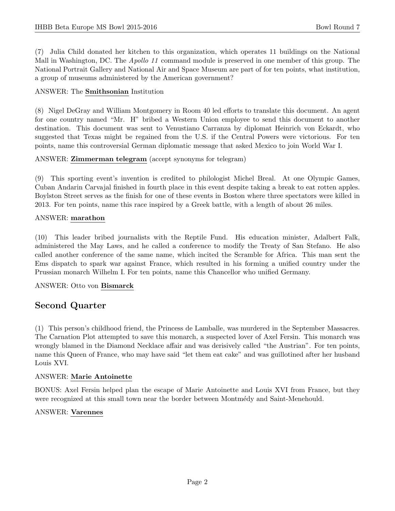(7) Julia Child donated her kitchen to this organization, which operates 11 buildings on the National Mall in Washington, DC. The *Apollo 11* command module is preserved in one member of this group. The National Portrait Gallery and National Air and Space Museum are part of for ten points, what institution, a group of museums administered by the American government?

## ANSWER: The Smithsonian Institution

(8) Nigel DeGray and William Montgomery in Room 40 led efforts to translate this document. An agent for one country named "Mr. H" bribed a Western Union employee to send this document to another destination. This document was sent to Venustiano Carranza by diplomat Heinrich von Eckardt, who suggested that Texas might be regained from the U.S. if the Central Powers were victorious. For ten points, name this controversial German diplomatic message that asked Mexico to join World War I.

## ANSWER: Zimmerman telegram (accept synonyms for telegram)

(9) This sporting event's invention is credited to philologist Michel Breal. At one Olympic Games, Cuban Andarin Carvajal finished in fourth place in this event despite taking a break to eat rotten apples. Boylston Street serves as the finish for one of these events in Boston where three spectators were killed in 2013. For ten points, name this race inspired by a Greek battle, with a length of about 26 miles.

## ANSWER: marathon

(10) This leader bribed journalists with the Reptile Fund. His education minister, Adalbert Falk, administered the May Laws, and he called a conference to modify the Treaty of San Stefano. He also called another conference of the same name, which incited the Scramble for Africa. This man sent the Ems dispatch to spark war against France, which resulted in his forming a unified country under the Prussian monarch Wilhelm I. For ten points, name this Chancellor who unified Germany.

## ANSWER: Otto von Bismarck

# Second Quarter

(1) This person's childhood friend, the Princess de Lamballe, was murdered in the September Massacres. The Carnation Plot attempted to save this monarch, a suspected lover of Axel Fersin. This monarch was wrongly blamed in the Diamond Necklace affair and was derisively called "the Austrian". For ten points, name this Queen of France, who may have said "let them eat cake" and was guillotined after her husband Louis XVI.

## ANSWER: Marie Antoinette

BONUS: Axel Fersin helped plan the escape of Marie Antoinette and Louis XVI from France, but they were recognized at this small town near the border between Montmedy and Saint-Menehould.

## ANSWER: Varennes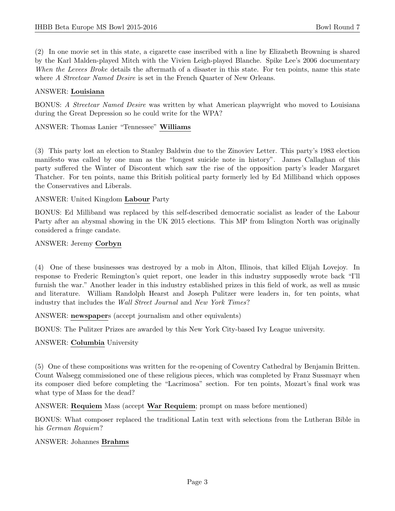(2) In one movie set in this state, a cigarette case inscribed with a line by Elizabeth Browning is shared by the Karl Malden-played Mitch with the Vivien Leigh-played Blanche. Spike Lee's 2006 documentary When the Levees Broke details the aftermath of a disaster in this state. For ten points, name this state where A Streetcar Named Desire is set in the French Quarter of New Orleans.

#### ANSWER: Louisiana

BONUS: A Streetcar Named Desire was written by what American playwright who moved to Louisiana during the Great Depression so he could write for the WPA?

ANSWER: Thomas Lanier "Tennessee" Williams

(3) This party lost an election to Stanley Baldwin due to the Zinoviev Letter. This party's 1983 election manifesto was called by one man as the "longest suicide note in history". James Callaghan of this party suffered the Winter of Discontent which saw the rise of the opposition party's leader Margaret Thatcher. For ten points, name this British political party formerly led by Ed Milliband which opposes the Conservatives and Liberals.

#### ANSWER: United Kingdom Labour Party

BONUS: Ed Milliband was replaced by this self-described democratic socialist as leader of the Labour Party after an abysmal showing in the UK 2015 elections. This MP from Islington North was originally considered a fringe candate.

#### ANSWER: Jeremy Corbyn

(4) One of these businesses was destroyed by a mob in Alton, Illinois, that killed Elijah Lovejoy. In response to Frederic Remington's quiet report, one leader in this industry supposedly wrote back "I'll furnish the war." Another leader in this industry established prizes in this field of work, as well as music and literature. William Randolph Hearst and Joseph Pulitzer were leaders in, for ten points, what industry that includes the Wall Street Journal and New York Times?

ANSWER: newspapers (accept journalism and other equivalents)

BONUS: The Pulitzer Prizes are awarded by this New York City-based Ivy League university.

## ANSWER: Columbia University

(5) One of these compositions was written for the re-opening of Coventry Cathedral by Benjamin Britten. Count Walsegg commissioned one of these religious pieces, which was completed by Franz Sussmayr when its composer died before completing the "Lacrimosa" section. For ten points, Mozart's final work was what type of Mass for the dead?

ANSWER: Requiem Mass (accept War Requiem; prompt on mass before mentioned)

BONUS: What composer replaced the traditional Latin text with selections from the Lutheran Bible in his German Requiem?

#### ANSWER: Johannes Brahms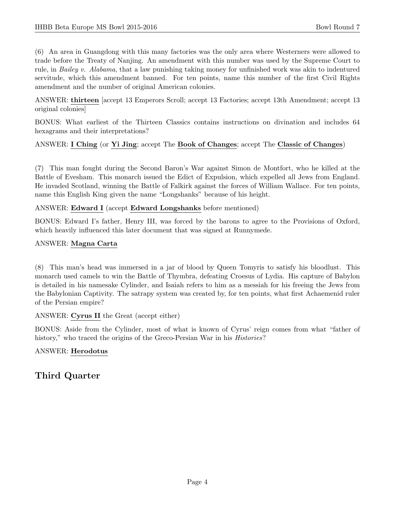(6) An area in Guangdong with this many factories was the only area where Westerners were allowed to trade before the Treaty of Nanjing. An amendment with this number was used by the Supreme Court to rule, in Bailey v. Alabama, that a law punishing taking money for unfinished work was akin to indentured servitude, which this amendment banned. For ten points, name this number of the first Civil Rights amendment and the number of original American colonies.

ANSWER: thirteen [accept 13 Emperors Scroll; accept 13 Factories; accept 13th Amendment; accept 13 original colonies]

BONUS: What earliest of the Thirteen Classics contains instructions on divination and includes 64 hexagrams and their interpretations?

## ANSWER: I Ching (or Yi Jing; accept The Book of Changes; accept The Classic of Changes)

(7) This man fought during the Second Baron's War against Simon de Montfort, who he killed at the Battle of Evesham. This monarch issued the Edict of Expulsion, which expelled all Jews from England. He invaded Scotland, winning the Battle of Falkirk against the forces of William Wallace. For ten points, name this English King given the name "Longshanks" because of his height.

#### ANSWER: Edward I (accept Edward Longshanks before mentioned)

BONUS: Edward I's father, Henry III, was forced by the barons to agree to the Provisions of Oxford, which heavily influenced this later document that was signed at Runnymede.

#### ANSWER: Magna Carta

(8) This man's head was immersed in a jar of blood by Queen Tomyris to satisfy his bloodlust. This monarch used camels to win the Battle of Thymbra, defeating Croesus of Lydia. His capture of Babylon is detailed in his namesake Cylinder, and Isaiah refers to him as a messiah for his freeing the Jews from the Babylonian Captivity. The satrapy system was created by, for ten points, what first Achaemenid ruler of the Persian empire?

#### ANSWER: Cyrus II the Great (accept either)

BONUS: Aside from the Cylinder, most of what is known of Cyrus' reign comes from what "father of history," who traced the origins of the Greco-Persian War in his *Histories*?

## ANSWER: Herodotus

# Third Quarter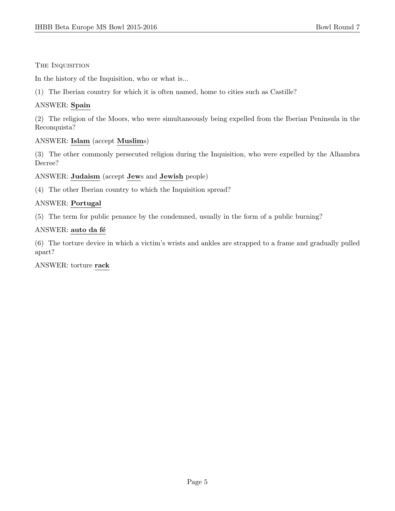#### The Inquisition

In the history of the Inquisition, who or what is...

(1) The Iberian country for which it is often named, home to cities such as Castille?

## ANSWER: Spain

(2) The religion of the Moors, who were simultaneously being expelled from the Iberian Peninsula in the Reconquista?

## ANSWER: Islam (accept Muslims)

(3) The other commonly persecuted religion during the Inquisition, who were expelled by the Alhambra Decree?

ANSWER: Judaism (accept Jews and Jewish people)

(4) The other Iberian country to which the Inquisition spread?

#### ANSWER: Portugal

(5) The term for public penance by the condemned, usually in the form of a public burning?

#### ANSWER: auto da fé

(6) The torture device in which a victim's wrists and ankles are strapped to a frame and gradually pulled apart?

#### ANSWER: torture rack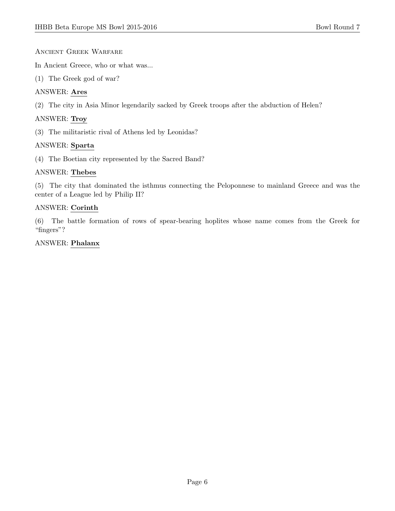## Ancient Greek Warfare

In Ancient Greece, who or what was...

(1) The Greek god of war?

## ANSWER: Ares

(2) The city in Asia Minor legendarily sacked by Greek troops after the abduction of Helen?

## ANSWER: Troy

(3) The militaristic rival of Athens led by Leonidas?

## ANSWER: Sparta

(4) The Boetian city represented by the Sacred Band?

## ANSWER: Thebes

(5) The city that dominated the isthmus connecting the Peloponnese to mainland Greece and was the center of a League led by Philip II?

## ANSWER: Corinth

(6) The battle formation of rows of spear-bearing hoplites whose name comes from the Greek for "fingers"?

## ANSWER: Phalanx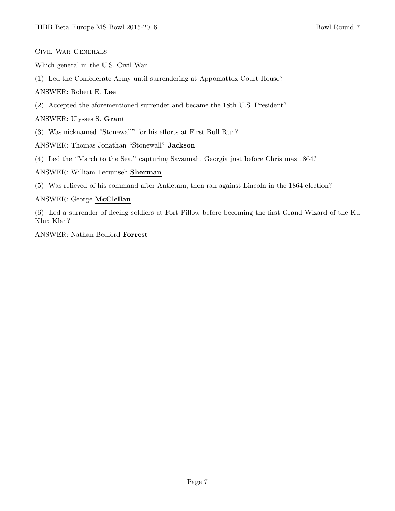Civil War Generals

Which general in the U.S. Civil War...

(1) Led the Confederate Army until surrendering at Appomattox Court House?

ANSWER: Robert E. Lee

(2) Accepted the aforementioned surrender and became the 18th U.S. President?

ANSWER: Ulysses S. Grant

(3) Was nicknamed "Stonewall" for his efforts at First Bull Run?

ANSWER: Thomas Jonathan "Stonewall" Jackson

(4) Led the "March to the Sea," capturing Savannah, Georgia just before Christmas 1864?

#### ANSWER: William Tecumseh Sherman

(5) Was relieved of his command after Antietam, then ran against Lincoln in the 1864 election?

#### ANSWER: George McClellan

(6) Led a surrender of fleeing soldiers at Fort Pillow before becoming the first Grand Wizard of the Ku Klux Klan?

ANSWER: Nathan Bedford Forrest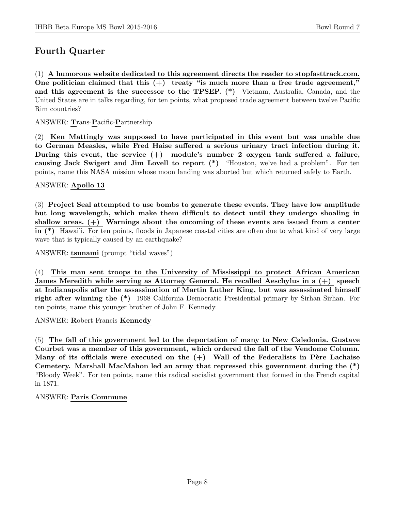# Fourth Quarter

(1) A humorous website dedicated to this agreement directs the reader to stopfasttrack.com. One politician claimed that this  $(+)$  treaty "is much more than a free trade agreement," and this agreement is the successor to the TPSEP. (\*) Vietnam, Australia, Canada, and the United States are in talks regarding, for ten points, what proposed trade agreement between twelve Pacific Rim countries?

ANSWER: Trans-Pacific-Partnership

(2) Ken Mattingly was supposed to have participated in this event but was unable due to German Measles, while Fred Haise suffered a serious urinary tract infection during it. During this event, the service  $(+)$  module's number 2 oxygen tank suffered a failure, causing Jack Swigert and Jim Lovell to report (\*) "Houston, we've had a problem". For ten points, name this NASA mission whose moon landing was aborted but which returned safely to Earth.

#### ANSWER: Apollo 13

(3) Project Seal attempted to use bombs to generate these events. They have low amplitude but long wavelength, which make them difficult to detect until they undergo shoaling in shallow areas.  $(+)$  Warnings about the oncoming of these events are issued from a center in (\*) Hawai'i. For ten points, floods in Japanese coastal cities are often due to what kind of very large wave that is typically caused by an earthquake?

ANSWER: tsunami (prompt "tidal waves")

(4) This man sent troops to the University of Mississippi to protect African American James Meredith while serving as Attorney General. He recalled Aeschylus in a (+) speech at Indianapolis after the assassination of Martin Luther King, but was assassinated himself right after winning the (\*) 1968 California Democratic Presidential primary by Sirhan Sirhan. For ten points, name this younger brother of John F. Kennedy.

ANSWER: Robert Francis Kennedy

(5) The fall of this government led to the deportation of many to New Caledonia. Gustave Courbet was a member of this government, which ordered the fall of the Vendome Column. Many of its officials were executed on the  $(+)$  Wall of the Federalists in Père Lachaise Cemetery. Marshall MacMahon led an army that repressed this government during the (\*) "Bloody Week". For ten points, name this radical socialist government that formed in the French capital in 1871.

## ANSWER: Paris Commune